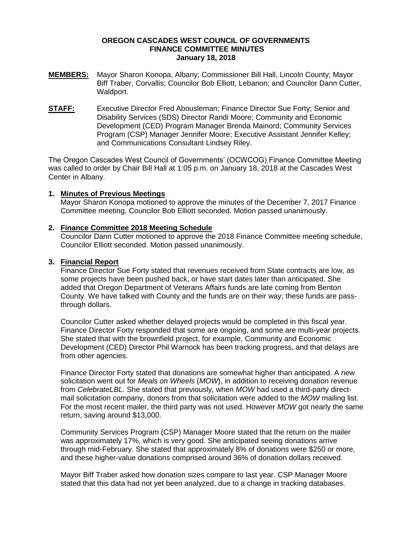## **OREGON CASCADES WEST COUNCIL OF GOVERNMENTS FINANCE COMMITTEE MINUTES January 18, 2018**

- **MEMBERS:** Mayor Sharon Konopa, Albany; Commissioner Bill Hall, Lincoln County; Mayor Biff Traber, Corvallis; Councilor Bob Elliott, Lebanon; and Councilor Dann Cutter, Waldport.
- **STAFF:** Executive Director Fred Abousleman; Finance Director Sue Forty; Senior and Disability Services (SDS) Director Randi Moore; Community and Economic Development (CED) Program Manager Brenda Mainord; Community Services Program (CSP) Manager Jennifer Moore; Executive Assistant Jennifer Kelley; and Communications Consultant Lindsey Riley.

The Oregon Cascades West Council of Governments' (OCWCOG) Finance Committee Meeting was called to order by Chair Bill Hall at 1:05 p.m. on January 18, 2018 at the Cascades West Center in Albany.

# **1. Minutes of Previous Meetings**

Mayor Sharon Konopa motioned to approve the minutes of the December 7, 2017 Finance Committee meeting, Councilor Bob Elliott seconded. Motion passed unanimously.

## **2. Finance Committee 2018 Meeting Schedule**

Councilor Dann Cutter motioned to approve the 2018 Finance Committee meeting schedule, Councilor Elliott seconded. Motion passed unanimously.

# **3. Financial Report**

Finance Director Sue Forty stated that revenues received from State contracts are low, as some projects have been pushed back, or have start dates later than anticipated. She added that Oregon Department of Veterans Affairs funds are late coming from Benton County. We have talked with County and the funds are on their way; these funds are passthrough dollars.

Councilor Cutter asked whether delayed projects would be completed in this fiscal year. Finance Director Forty responded that some are ongoing, and some are multi-year projects. She stated that with the brownfield project, for example, Community and Economic Development (CED) Director Phil Warnock has been tracking progress, and that delays are from other agencies.

Finance Director Forty stated that donations are somewhat higher than anticipated. A new solicitation went out for *Meals on Wheels* (*MOW*), in addition to receiving donation revenue from *CelebrateLBL.* She stated that previously, when *MOW* had used a third-party directmail solicitation company, donors from that solicitation were added to the *MOW* mailing list. For the most recent mailer, the third party was not used. However *MOW* got nearly the same return, saving around \$13,000.

Community Services Program (CSP) Manager Moore stated that the return on the mailer was approximately 17%, which is very good. She anticipated seeing donations arrive through mid-February. She stated that approximately 8% of donations were \$250 or more, and these higher-value donations comprised around 36% of donation dollars received.

Mayor Biff Traber asked how donation sizes compare to last year. CSP Manager Moore stated that this data had not yet been analyzed, due to a change in tracking databases.